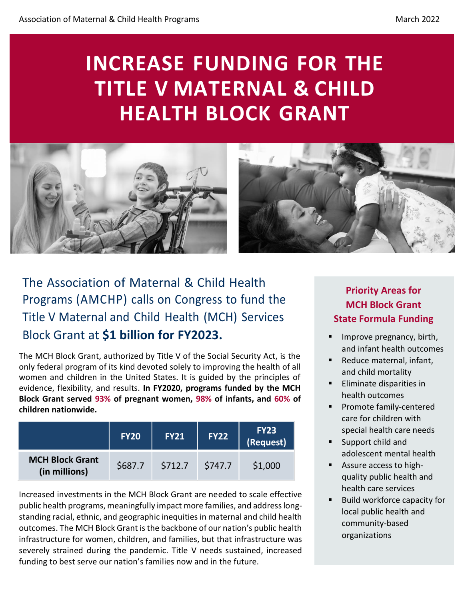# **INCREASE FUNDING FOR THE TITLE V MATERNAL & CHILD HEALTH BLOCK GRANT**



# The Association of Maternal & Child Health Programs (AMCHP) calls on Congress to fund the Title V Maternal and Child Health (MCH) Services Block Grant at **\$1 billion for FY2023.**

The MCH Block Grant, authorized by Title V of the Social Security Act, is the only federal program of its kind devoted solely to improving the health of all women and children in the United States. It is guided by the principles of evidence, flexibility, and results. **In FY2020, programs funded by the MCH Block Grant served 93% of pregnant women, 98% of infants, and 60% of children nationwide.** 

|                                         | <b>FY20</b> | <b>FY21</b> | <b>FY22</b> | <b>FY23</b><br>(Request) |
|-----------------------------------------|-------------|-------------|-------------|--------------------------|
| <b>MCH Block Grant</b><br>(in millions) | \$687.7     | \$712.7     | \$747.7     | \$1,000                  |

Increased investments in the MCH Block Grant are needed to scale effective public health programs, meaningfully impact more families, and address longstanding racial, ethnic, and geographic inequities in maternal and child health outcomes. The MCH Block Grant is the backbone of our nation's public health infrastructure for women, children, and families, but that infrastructure was severely strained during the pandemic. Title V needs sustained, increased funding to best serve our nation's families now and in the future.

# **Priority Areas for MCH Block Grant State Formula Funding**

- Improve pregnancy, birth, and infant health outcomes
- Reduce maternal, infant, and child mortality
- Eliminate disparities in health outcomes
- Promote family-centered care for children with special health care needs
- Support child and adolescent mental health
- Assure access to highquality public health and health care services
- Build workforce capacity for local public health and community-based organizations